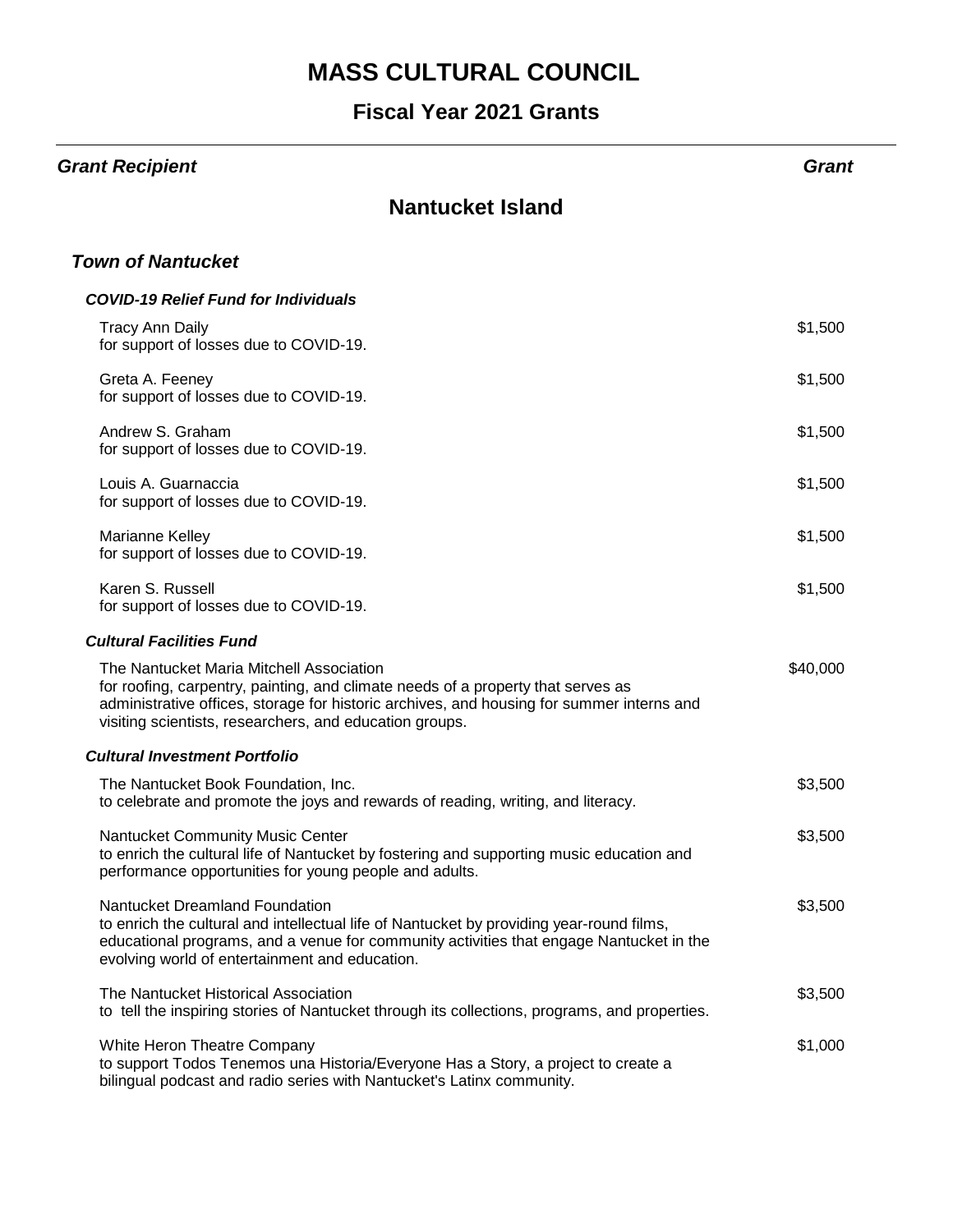# **MASS CULTURAL COUNCIL**

### **Fiscal Year 2021 Grants**

| <b>Grant Recipient</b>                                                                                                                                                                                                                                                               | Grant    |
|--------------------------------------------------------------------------------------------------------------------------------------------------------------------------------------------------------------------------------------------------------------------------------------|----------|
| <b>Nantucket Island</b>                                                                                                                                                                                                                                                              |          |
| <b>Town of Nantucket</b>                                                                                                                                                                                                                                                             |          |
| <b>COVID-19 Relief Fund for Individuals</b>                                                                                                                                                                                                                                          |          |
| <b>Tracy Ann Daily</b><br>for support of losses due to COVID-19.                                                                                                                                                                                                                     | \$1,500  |
| Greta A. Feeney<br>for support of losses due to COVID-19.                                                                                                                                                                                                                            | \$1,500  |
| Andrew S. Graham<br>for support of losses due to COVID-19.                                                                                                                                                                                                                           | \$1,500  |
| Louis A. Guarnaccia<br>for support of losses due to COVID-19.                                                                                                                                                                                                                        | \$1,500  |
| Marianne Kelley<br>for support of losses due to COVID-19.                                                                                                                                                                                                                            | \$1,500  |
| Karen S. Russell<br>for support of losses due to COVID-19.                                                                                                                                                                                                                           | \$1,500  |
| <b>Cultural Facilities Fund</b>                                                                                                                                                                                                                                                      |          |
| The Nantucket Maria Mitchell Association<br>for roofing, carpentry, painting, and climate needs of a property that serves as<br>administrative offices, storage for historic archives, and housing for summer interns and<br>visiting scientists, researchers, and education groups. | \$40,000 |
| <b>Cultural Investment Portfolio</b>                                                                                                                                                                                                                                                 |          |
| The Nantucket Book Foundation, Inc.<br>to celebrate and promote the joys and rewards of reading, writing, and literacy.                                                                                                                                                              | \$3,500  |
| Nantucket Community Music Center<br>to enrich the cultural life of Nantucket by fostering and supporting music education and<br>performance opportunities for young people and adults.                                                                                               | \$3,500  |
| Nantucket Dreamland Foundation<br>to enrich the cultural and intellectual life of Nantucket by providing year-round films,<br>educational programs, and a venue for community activities that engage Nantucket in the<br>evolving world of entertainment and education.              | \$3,500  |
| The Nantucket Historical Association<br>to tell the inspiring stories of Nantucket through its collections, programs, and properties.                                                                                                                                                | \$3,500  |
| White Heron Theatre Company<br>to support Todos Tenemos una Historia/Everyone Has a Story, a project to create a<br>bilingual podcast and radio series with Nantucket's Latinx community.                                                                                            | \$1,000  |